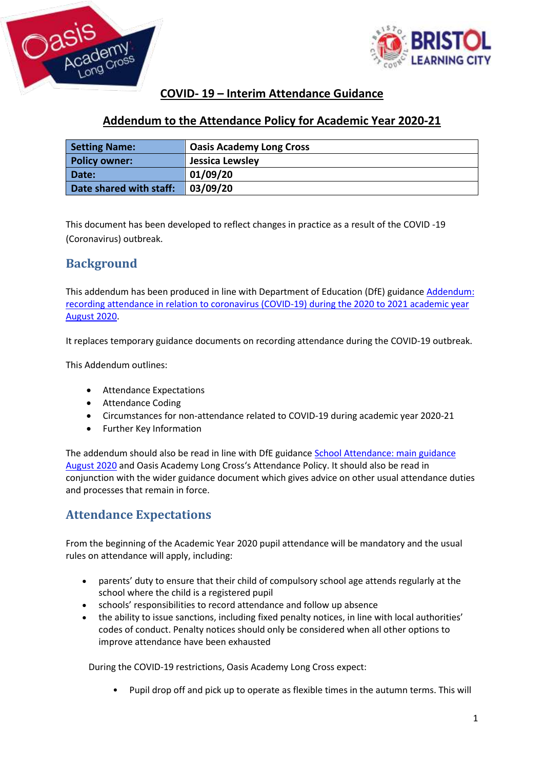



## **COVID- 19 – Interim Attendance Guidance**

### **Addendum to the Attendance Policy for Academic Year 2020-21**

| <b>Setting Name:</b>    | <b>Oasis Academy Long Cross</b> |  |
|-------------------------|---------------------------------|--|
| <b>Policy owner:</b>    | Jessica Lewsley                 |  |
| Date:                   | 01/09/20                        |  |
| Date shared with staff: | 03/09/20                        |  |

This document has been developed to reflect changes in practice as a result of the COVID -19 (Coronavirus) outbreak.

## **Background**

This addendum has been produced in line with Department of Education (DfE) guidance [Addendum:](https://www.gov.uk/government/publications/school-attendance/addendum-recording-attendance-in-relation-to-coronavirus-covid-19-during-the-2020-to-2021-academic-year)  [recording attendance in relation to coronavirus \(COVID-19\) during the 2020 to 2021 academic year](https://www.gov.uk/government/publications/school-attendance/addendum-recording-attendance-in-relation-to-coronavirus-covid-19-during-the-2020-to-2021-academic-year)  [August 2020.](https://www.gov.uk/government/publications/school-attendance/addendum-recording-attendance-in-relation-to-coronavirus-covid-19-during-the-2020-to-2021-academic-year)

It replaces temporary guidance documents on recording attendance during the COVID-19 outbreak.

This Addendum outlines:

- Attendance Expectations
- Attendance Coding
- Circumstances for non-attendance related to COVID-19 during academic year 2020-21
- Further Key Information

The addendum should also be read in line with DfE guidance [School Attendance: main guidance](https://assets.publishing.service.gov.uk/government/uploads/system/uploads/attachment_data/file/907535/School_attendance_guidance_for_2020_to_2021_academic_year.pdf)  [August 2020](https://assets.publishing.service.gov.uk/government/uploads/system/uploads/attachment_data/file/907535/School_attendance_guidance_for_2020_to_2021_academic_year.pdf) and Oasis Academy Long Cross's Attendance Policy. It should also be read in conjunction with the wider guidance document which gives advice on other usual attendance duties and processes that remain in force.

## **Attendance Expectations**

From the beginning of the Academic Year 2020 pupil attendance will be mandatory and the usual rules on attendance will apply, including:

- parents' duty to ensure that their child of compulsory school age attends regularly at the school where the child is a registered pupil
- schools' responsibilities to record attendance and follow up absence
- the ability to issue sanctions, including fixed penalty notices, in line with local authorities' codes of conduct. Penalty notices should only be considered when all other options to improve attendance have been exhausted

During the COVID-19 restrictions, Oasis Academy Long Cross expect:

• Pupil drop off and pick up to operate as flexible times in the autumn terms. This will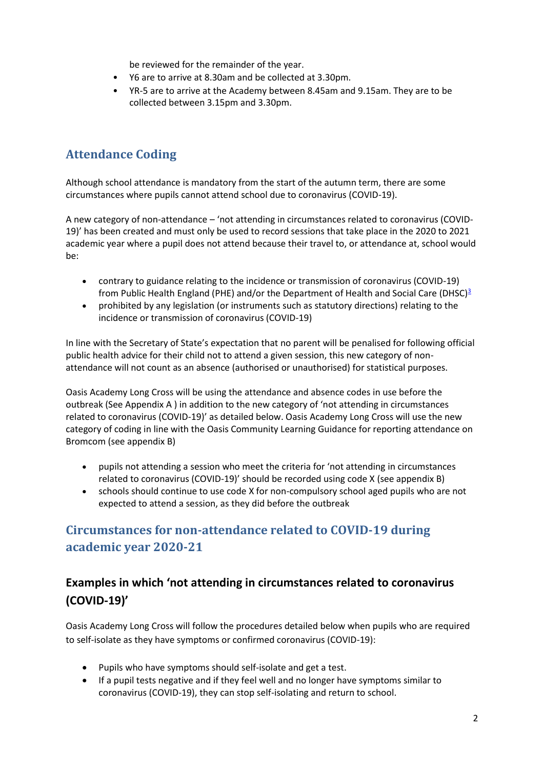be reviewed for the remainder of the year.

- Y6 are to arrive at 8.30am and be collected at 3.30pm.
- YR-5 are to arrive at the Academy between 8.45am and 9.15am. They are to be collected between 3.15pm and 3.30pm.

# **Attendance Coding**

Although school attendance is mandatory from the start of the autumn term, there are some circumstances where pupils cannot attend school due to coronavirus (COVID-19).

A new category of non-attendance – 'not attending in circumstances related to coronavirus (COVID-19)' has been created and must only be used to record sessions that take place in the 2020 to 2021 academic year where a pupil does not attend because their travel to, or attendance at, school would be:

- contrary to guidance relating to the incidence or transmission of coronavirus (COVID-19) from Public Health England (PHE) and/or the Department of Health and Social Care (DHSC)<sup>[3](https://www.gov.uk/government/publications/school-attendance/addendum-recording-attendance-in-relation-to-coronavirus-covid-19-during-the-2020-to-2021-academic-year#fn:3)</sup>
- prohibited by any legislation (or instruments such as statutory directions) relating to the incidence or transmission of coronavirus (COVID-19)

In line with the Secretary of State's expectation that no parent will be penalised for following official public health advice for their child not to attend a given session, this new category of nonattendance will not count as an absence (authorised or unauthorised) for statistical purposes.

Oasis Academy Long Cross will be using the attendance and absence codes in use before the outbreak (See Appendix A ) in addition to the new category of 'not attending in circumstances related to coronavirus (COVID-19)' as detailed below. Oasis Academy Long Cross will use the new category of coding in line with the Oasis Community Learning Guidance for reporting attendance on Bromcom (see appendix B)

- pupils not attending a session who meet the criteria for 'not attending in circumstances related to coronavirus (COVID-19)' should be recorded using code X (see appendix B)
- schools should continue to use code X for non-compulsory school aged pupils who are not expected to attend a session, as they did before the outbreak

# **Circumstances for non-attendance related to COVID-19 during academic year 2020-21**

## **Examples in which 'not attending in circumstances related to coronavirus (COVID-19)'**

Oasis Academy Long Cross will follow the procedures detailed below when pupils who are required to self-isolate as they have symptoms or confirmed coronavirus (COVID-19):

- Pupils who have symptoms should self-isolate and get a test.
- If a pupil tests negative and if they feel well and no longer have symptoms similar to coronavirus (COVID-19), they can stop self-isolating and return to school.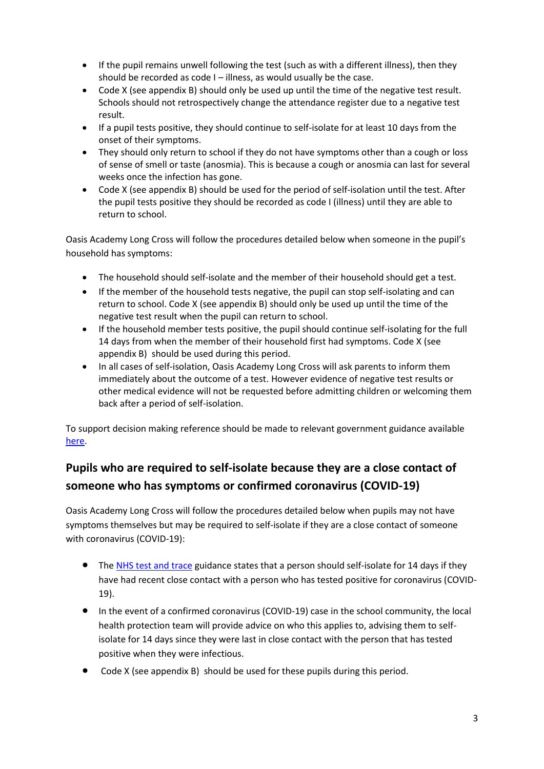- If the pupil remains unwell following the test (such as with a different illness), then they should be recorded as code I – illness, as would usually be the case.
- Code X (see appendix B) should only be used up until the time of the negative test result. Schools should not retrospectively change the attendance register due to a negative test result.
- If a pupil tests positive, they should continue to self-isolate for at least 10 days from the onset of their symptoms.
- They should only return to school if they do not have symptoms other than a cough or loss of sense of smell or taste (anosmia). This is because a cough or anosmia can last for several weeks once the infection has gone.
- Code X (see appendix B) should be used for the period of self-isolation until the test. After the pupil tests positive they should be recorded as code I (illness) until they are able to return to school.

Oasis Academy Long Cross will follow the procedures detailed below when someone in the pupil's household has symptoms:

- The household should self-isolate and the member of their household should get a test.
- If the member of the household tests negative, the pupil can stop self-isolating and can return to school. Code X (see appendix B) should only be used up until the time of the negative test result when the pupil can return to school.
- If the household member tests positive, the pupil should continue self-isolating for the full 14 days from when the member of their household first had symptoms. Code X (see appendix B) should be used during this period.
- In all cases of self-isolation, Oasis Academy Long Cross will ask parents to inform them immediately about the outcome of a test. However evidence of negative test results or other medical evidence will not be requested before admitting children or welcoming them back after a period of self-isolation.

To support decision making reference should be made to relevant government guidance available [here.](https://www.gov.uk/government/publications/covid-19-stay-at-home-guidance/stay-at-home-guidance-for-households-with-possible-coronavirus-covid-19-infection)

# **Pupils who are required to self-isolate because they are a close contact of someone who has symptoms or confirmed coronavirus (COVID-19)**

Oasis Academy Long Cross will follow the procedures detailed below when pupils may not have symptoms themselves but may be required to self-isolate if they are a close contact of someone with coronavirus (COVID-19):

- The [NHS test and trace](https://www.gov.uk/guidance/nhs-test-and-trace-how-it-works#people-who-have-had-close-contact-with-someone-who-has-coronavirus) guidance states that a person should self-isolate for 14 days if they have had recent close contact with a person who has tested positive for coronavirus (COVID-19).
- In the event of a confirmed coronavirus (COVID-19) case in the school community, the local health protection team will provide advice on who this applies to, advising them to selfisolate for 14 days since they were last in close contact with the person that has tested positive when they were infectious.
- Code X (see appendix B) should be used for these pupils during this period.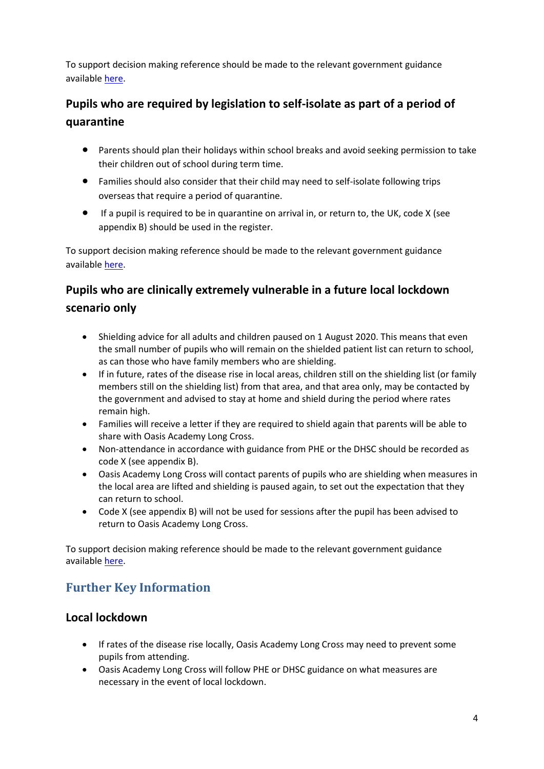To support decision making reference should be made to the relevant government guidance available [here.](https://www.gov.uk/government/publications/covid-19-stay-at-home-guidance/stay-at-home-guidance-for-households-with-possible-coronavirus-covid-19-infection)

# **Pupils who are required by legislation to self-isolate as part of a period of quarantine**

- Parents should plan their holidays within school breaks and avoid seeking permission to take their children out of school during term time.
- Families should also consider that their child may need to self-isolate following trips overseas that require a period of quarantine.
- If a pupil is required to be in quarantine on arrival in, or return to, the UK, code X (see appendix B) should be used in the register.

To support decision making reference should be made to the relevant government guidance available [here.](https://www.gov.uk/government/publications/coronavirus-covid-19-how-to-self-isolate-when-you-travel-to-the-uk/coronavirus-covid-19-how-to-self-isolate-when-you-travel-to-the-uk)

# **Pupils who are clinically extremely vulnerable in a future local lockdown scenario only**

- Shielding advice for all adults and children paused on 1 August 2020. This means that even the small number of pupils who will remain on the shielded patient list can return to school, as can those who have family members who are shielding.
- If in future, rates of the disease rise in local areas, children still on the shielding list (or family members still on the shielding list) from that area, and that area only, may be contacted by the government and advised to stay at home and shield during the period where rates remain high.
- Families will receive a letter if they are required to shield again that parents will be able to share with Oasis Academy Long Cross.
- Non-attendance in accordance with guidance from PHE or the DHSC should be recorded as code X (see appendix B).
- Oasis Academy Long Cross will contact parents of pupils who are shielding when measures in the local area are lifted and shielding is paused again, to set out the expectation that they can return to school.
- Code X (see appendix B) will not be used for sessions after the pupil has been advised to return to Oasis Academy Long Cross.

To support decision making reference should be made to the relevant government guidance available [here.](https://www.gov.uk/government/publications/guidance-on-shielding-and-protecting-extremely-vulnerable-persons-from-covid-19/guidance-on-shielding-and-protecting-extremely-vulnerable-persons-from-covid-19)

# **Further Key Information**

## **Local lockdown**

- If rates of the disease rise locally, Oasis Academy Long Cross may need to prevent some pupils from attending.
- Oasis Academy Long Cross will follow PHE or DHSC guidance on what measures are necessary in the event of local lockdown.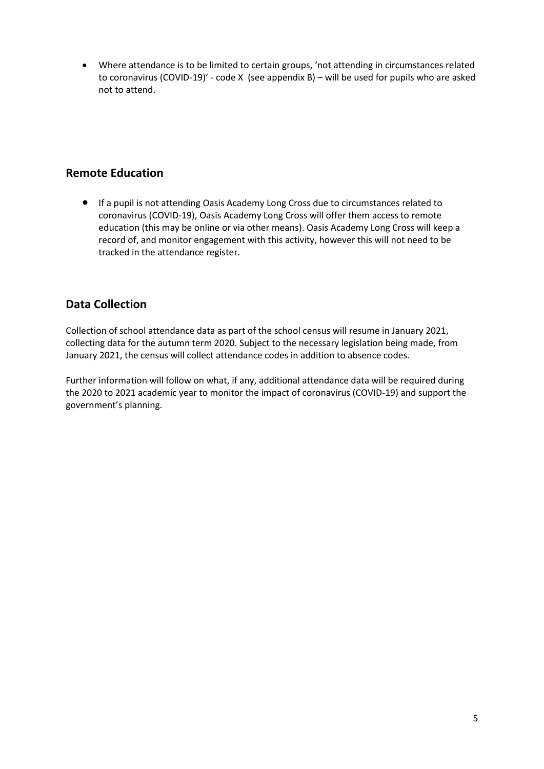Where attendance is to be limited to certain groups, 'not attending in circumstances related to coronavirus (COVID-19)' - code X (see appendix B) – will be used for pupils who are asked not to attend.

### **Remote Education**

 If a pupil is not attending Oasis Academy Long Cross due to circumstances related to coronavirus (COVID-19), Oasis Academy Long Cross will offer them access to remote education (this may be online or via other means). Oasis Academy Long Cross will keep a record of, and monitor engagement with this activity, however this will not need to be tracked in the attendance register.

### **Data Collection**

Collection of school attendance data as part of the school census will resume in January 2021, collecting data for the autumn term 2020. Subject to the necessary legislation being made, from January 2021, the census will collect attendance codes in addition to absence codes.

Further information will follow on what, if any, additional attendance data will be required during the 2020 to 2021 academic year to monitor the impact of coronavirus (COVID-19) and support the government's planning.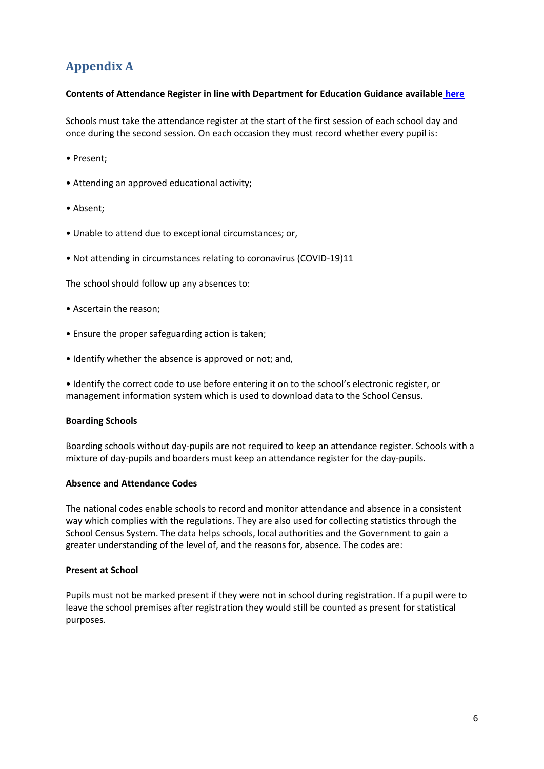# **Appendix A**

#### **Contents of Attendance Register in line with Department for Education Guidance available [here](https://assets.publishing.service.gov.uk/government/uploads/system/uploads/attachment_data/file/907535/School_attendance_guidance_for_2020_to_2021_academic_year.pdf)**

Schools must take the attendance register at the start of the first session of each school day and once during the second session. On each occasion they must record whether every pupil is:

- Present;
- Attending an approved educational activity;
- Absent;
- Unable to attend due to exceptional circumstances; or,
- Not attending in circumstances relating to coronavirus (COVID-19)11

The school should follow up any absences to:

- Ascertain the reason;
- Ensure the proper safeguarding action is taken;
- Identify whether the absence is approved or not; and,

• Identify the correct code to use before entering it on to the school's electronic register, or management information system which is used to download data to the School Census.

#### **Boarding Schools**

Boarding schools without day-pupils are not required to keep an attendance register. Schools with a mixture of day-pupils and boarders must keep an attendance register for the day-pupils.

#### **Absence and Attendance Codes**

The national codes enable schools to record and monitor attendance and absence in a consistent way which complies with the regulations. They are also used for collecting statistics through the School Census System. The data helps schools, local authorities and the Government to gain a greater understanding of the level of, and the reasons for, absence. The codes are:

#### **Present at School**

Pupils must not be marked present if they were not in school during registration. If a pupil were to leave the school premises after registration they would still be counted as present for statistical purposes.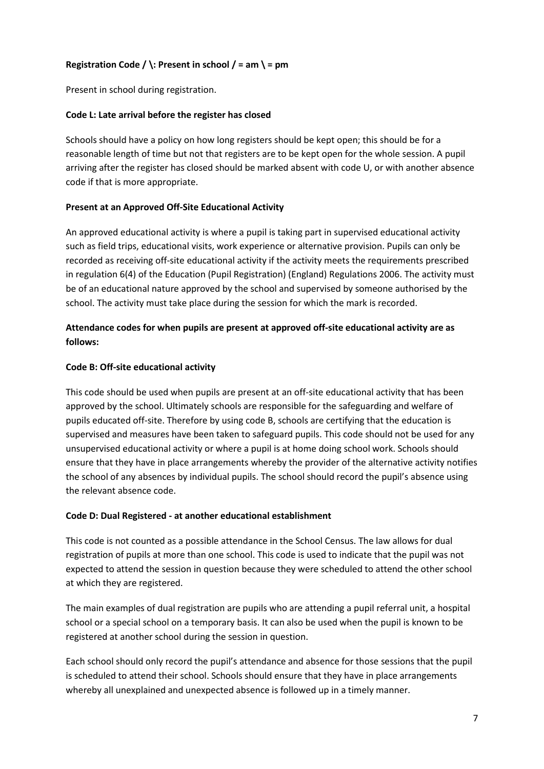### **Registration Code / \: Present in school / = am \ = pm**

Present in school during registration.

#### **Code L: Late arrival before the register has closed**

Schools should have a policy on how long registers should be kept open; this should be for a reasonable length of time but not that registers are to be kept open for the whole session. A pupil arriving after the register has closed should be marked absent with code U, or with another absence code if that is more appropriate.

#### **Present at an Approved Off-Site Educational Activity**

An approved educational activity is where a pupil is taking part in supervised educational activity such as field trips, educational visits, work experience or alternative provision. Pupils can only be recorded as receiving off-site educational activity if the activity meets the requirements prescribed in regulation 6(4) of the Education (Pupil Registration) (England) Regulations 2006. The activity must be of an educational nature approved by the school and supervised by someone authorised by the school. The activity must take place during the session for which the mark is recorded.

### **Attendance codes for when pupils are present at approved off-site educational activity are as follows:**

#### **Code B: Off-site educational activity**

This code should be used when pupils are present at an off-site educational activity that has been approved by the school. Ultimately schools are responsible for the safeguarding and welfare of pupils educated off-site. Therefore by using code B, schools are certifying that the education is supervised and measures have been taken to safeguard pupils. This code should not be used for any unsupervised educational activity or where a pupil is at home doing school work. Schools should ensure that they have in place arrangements whereby the provider of the alternative activity notifies the school of any absences by individual pupils. The school should record the pupil's absence using the relevant absence code.

#### **Code D: Dual Registered - at another educational establishment**

This code is not counted as a possible attendance in the School Census. The law allows for dual registration of pupils at more than one school. This code is used to indicate that the pupil was not expected to attend the session in question because they were scheduled to attend the other school at which they are registered.

The main examples of dual registration are pupils who are attending a pupil referral unit, a hospital school or a special school on a temporary basis. It can also be used when the pupil is known to be registered at another school during the session in question.

Each school should only record the pupil's attendance and absence for those sessions that the pupil is scheduled to attend their school. Schools should ensure that they have in place arrangements whereby all unexplained and unexpected absence is followed up in a timely manner.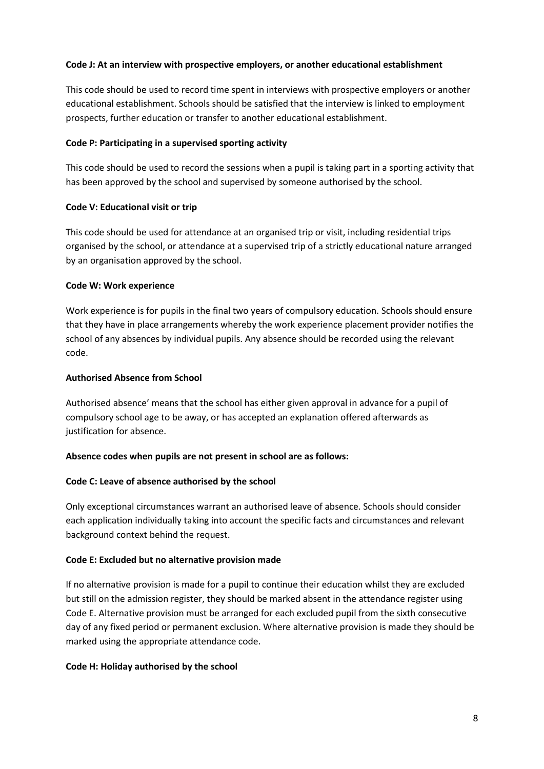#### **Code J: At an interview with prospective employers, or another educational establishment**

This code should be used to record time spent in interviews with prospective employers or another educational establishment. Schools should be satisfied that the interview is linked to employment prospects, further education or transfer to another educational establishment.

#### **Code P: Participating in a supervised sporting activity**

This code should be used to record the sessions when a pupil is taking part in a sporting activity that has been approved by the school and supervised by someone authorised by the school.

#### **Code V: Educational visit or trip**

This code should be used for attendance at an organised trip or visit, including residential trips organised by the school, or attendance at a supervised trip of a strictly educational nature arranged by an organisation approved by the school.

#### **Code W: Work experience**

Work experience is for pupils in the final two years of compulsory education. Schools should ensure that they have in place arrangements whereby the work experience placement provider notifies the school of any absences by individual pupils. Any absence should be recorded using the relevant code.

#### **Authorised Absence from School**

Authorised absence' means that the school has either given approval in advance for a pupil of compulsory school age to be away, or has accepted an explanation offered afterwards as justification for absence.

#### **Absence codes when pupils are not present in school are as follows:**

#### **Code C: Leave of absence authorised by the school**

Only exceptional circumstances warrant an authorised leave of absence. Schools should consider each application individually taking into account the specific facts and circumstances and relevant background context behind the request.

#### **Code E: Excluded but no alternative provision made**

If no alternative provision is made for a pupil to continue their education whilst they are excluded but still on the admission register, they should be marked absent in the attendance register using Code E. Alternative provision must be arranged for each excluded pupil from the sixth consecutive day of any fixed period or permanent exclusion. Where alternative provision is made they should be marked using the appropriate attendance code.

#### **Code H: Holiday authorised by the school**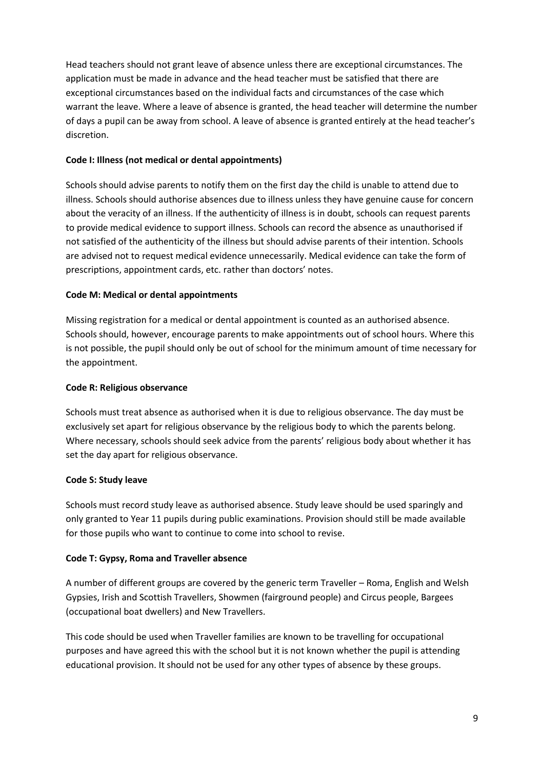Head teachers should not grant leave of absence unless there are exceptional circumstances. The application must be made in advance and the head teacher must be satisfied that there are exceptional circumstances based on the individual facts and circumstances of the case which warrant the leave. Where a leave of absence is granted, the head teacher will determine the number of days a pupil can be away from school. A leave of absence is granted entirely at the head teacher's discretion.

#### **Code I: Illness (not medical or dental appointments)**

Schools should advise parents to notify them on the first day the child is unable to attend due to illness. Schools should authorise absences due to illness unless they have genuine cause for concern about the veracity of an illness. If the authenticity of illness is in doubt, schools can request parents to provide medical evidence to support illness. Schools can record the absence as unauthorised if not satisfied of the authenticity of the illness but should advise parents of their intention. Schools are advised not to request medical evidence unnecessarily. Medical evidence can take the form of prescriptions, appointment cards, etc. rather than doctors' notes.

#### **Code M: Medical or dental appointments**

Missing registration for a medical or dental appointment is counted as an authorised absence. Schools should, however, encourage parents to make appointments out of school hours. Where this is not possible, the pupil should only be out of school for the minimum amount of time necessary for the appointment.

#### **Code R: Religious observance**

Schools must treat absence as authorised when it is due to religious observance. The day must be exclusively set apart for religious observance by the religious body to which the parents belong. Where necessary, schools should seek advice from the parents' religious body about whether it has set the day apart for religious observance.

### **Code S: Study leave**

Schools must record study leave as authorised absence. Study leave should be used sparingly and only granted to Year 11 pupils during public examinations. Provision should still be made available for those pupils who want to continue to come into school to revise.

#### **Code T: Gypsy, Roma and Traveller absence**

A number of different groups are covered by the generic term Traveller – Roma, English and Welsh Gypsies, Irish and Scottish Travellers, Showmen (fairground people) and Circus people, Bargees (occupational boat dwellers) and New Travellers.

This code should be used when Traveller families are known to be travelling for occupational purposes and have agreed this with the school but it is not known whether the pupil is attending educational provision. It should not be used for any other types of absence by these groups.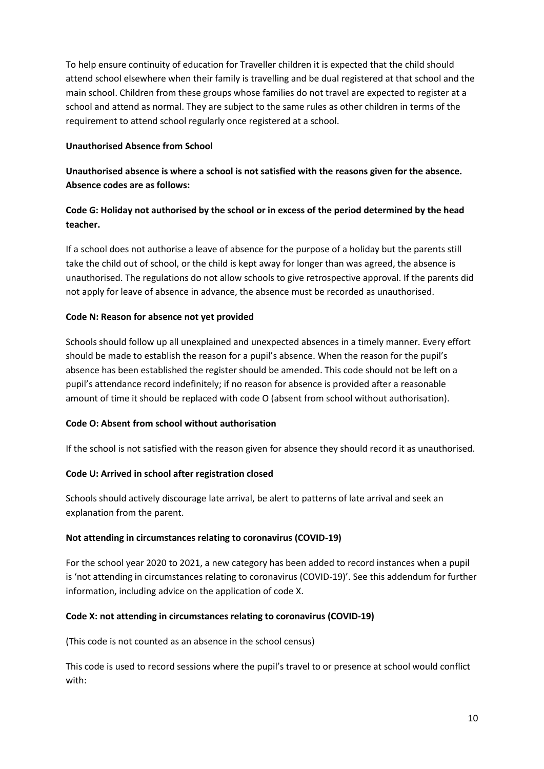To help ensure continuity of education for Traveller children it is expected that the child should attend school elsewhere when their family is travelling and be dual registered at that school and the main school. Children from these groups whose families do not travel are expected to register at a school and attend as normal. They are subject to the same rules as other children in terms of the requirement to attend school regularly once registered at a school.

#### **Unauthorised Absence from School**

### **Unauthorised absence is where a school is not satisfied with the reasons given for the absence. Absence codes are as follows:**

### **Code G: Holiday not authorised by the school or in excess of the period determined by the head teacher.**

If a school does not authorise a leave of absence for the purpose of a holiday but the parents still take the child out of school, or the child is kept away for longer than was agreed, the absence is unauthorised. The regulations do not allow schools to give retrospective approval. If the parents did not apply for leave of absence in advance, the absence must be recorded as unauthorised.

#### **Code N: Reason for absence not yet provided**

Schools should follow up all unexplained and unexpected absences in a timely manner. Every effort should be made to establish the reason for a pupil's absence. When the reason for the pupil's absence has been established the register should be amended. This code should not be left on a pupil's attendance record indefinitely; if no reason for absence is provided after a reasonable amount of time it should be replaced with code O (absent from school without authorisation).

#### **Code O: Absent from school without authorisation**

If the school is not satisfied with the reason given for absence they should record it as unauthorised.

#### **Code U: Arrived in school after registration closed**

Schools should actively discourage late arrival, be alert to patterns of late arrival and seek an explanation from the parent.

#### **Not attending in circumstances relating to coronavirus (COVID-19)**

For the school year 2020 to 2021, a new category has been added to record instances when a pupil is 'not attending in circumstances relating to coronavirus (COVID-19)'. See this addendum for further information, including advice on the application of code X.

#### **Code X: not attending in circumstances relating to coronavirus (COVID-19)**

(This code is not counted as an absence in the school census)

This code is used to record sessions where the pupil's travel to or presence at school would conflict with: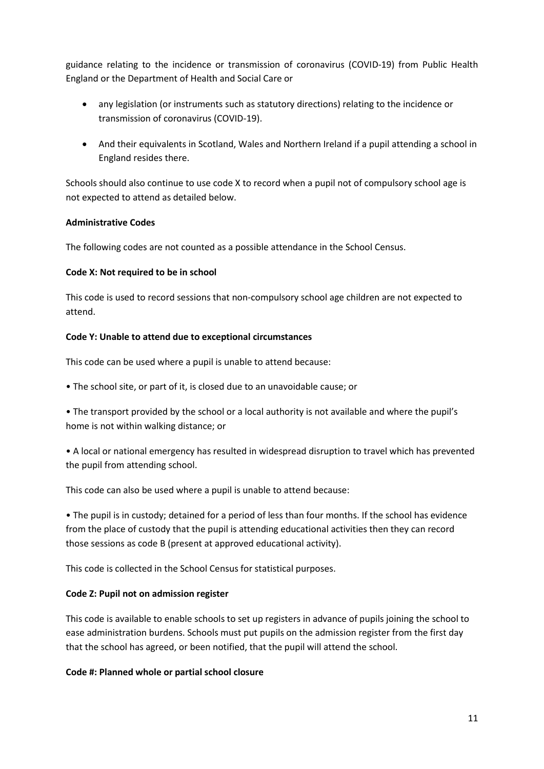guidance relating to the incidence or transmission of coronavirus (COVID-19) from Public Health England or the Department of Health and Social Care or

- any legislation (or instruments such as statutory directions) relating to the incidence or transmission of coronavirus (COVID-19).
- And their equivalents in Scotland, Wales and Northern Ireland if a pupil attending a school in England resides there.

Schools should also continue to use code X to record when a pupil not of compulsory school age is not expected to attend as detailed below.

#### **Administrative Codes**

The following codes are not counted as a possible attendance in the School Census.

#### **Code X: Not required to be in school**

This code is used to record sessions that non-compulsory school age children are not expected to attend.

#### **Code Y: Unable to attend due to exceptional circumstances**

This code can be used where a pupil is unable to attend because:

• The school site, or part of it, is closed due to an unavoidable cause; or

• The transport provided by the school or a local authority is not available and where the pupil's home is not within walking distance; or

• A local or national emergency has resulted in widespread disruption to travel which has prevented the pupil from attending school.

This code can also be used where a pupil is unable to attend because:

• The pupil is in custody; detained for a period of less than four months. If the school has evidence from the place of custody that the pupil is attending educational activities then they can record those sessions as code B (present at approved educational activity).

This code is collected in the School Census for statistical purposes.

#### **Code Z: Pupil not on admission register**

This code is available to enable schools to set up registers in advance of pupils joining the school to ease administration burdens. Schools must put pupils on the admission register from the first day that the school has agreed, or been notified, that the pupil will attend the school.

#### **Code #: Planned whole or partial school closure**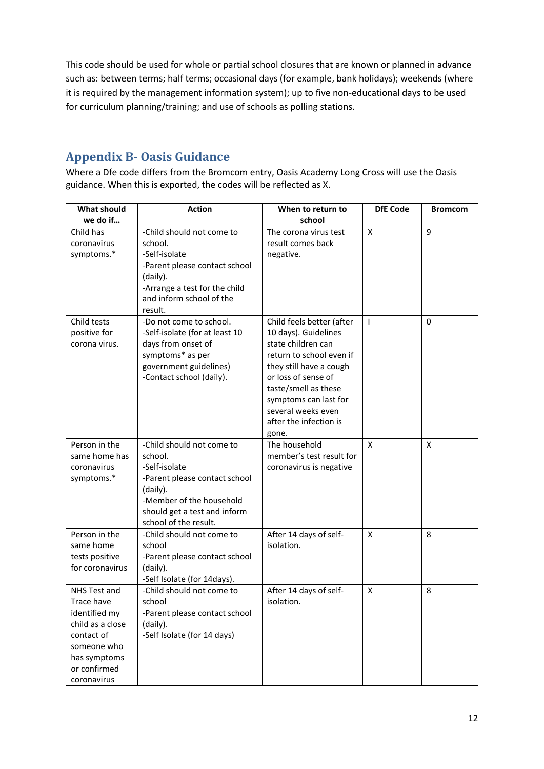This code should be used for whole or partial school closures that are known or planned in advance such as: between terms; half terms; occasional days (for example, bank holidays); weekends (where it is required by the management information system); up to five non-educational days to be used for curriculum planning/training; and use of schools as polling stations.

## **Appendix B- Oasis Guidance**

Where a Dfe code differs from the Bromcom entry, Oasis Academy Long Cross will use the Oasis guidance. When this is exported, the codes will be reflected as X.

| <b>What should</b> | <b>Action</b>                                      | When to return to                              | <b>DfE Code</b> | <b>Bromcom</b> |
|--------------------|----------------------------------------------------|------------------------------------------------|-----------------|----------------|
| we do if           |                                                    | school                                         |                 |                |
| Child has          | -Child should not come to                          | The corona virus test                          | X               | 9              |
| coronavirus        | school.                                            | result comes back                              |                 |                |
| symptoms.*         | -Self-isolate                                      | negative.                                      |                 |                |
|                    | -Parent please contact school                      |                                                |                 |                |
|                    | (daily).                                           |                                                |                 |                |
|                    | -Arrange a test for the child                      |                                                |                 |                |
|                    | and inform school of the                           |                                                |                 |                |
|                    | result.                                            |                                                |                 |                |
| Child tests        | -Do not come to school.                            | Child feels better (after                      | T               | 0              |
| positive for       | -Self-isolate (for at least 10                     | 10 days). Guidelines                           |                 |                |
| corona virus.      | days from onset of                                 | state children can                             |                 |                |
|                    | symptoms* as per                                   | return to school even if                       |                 |                |
|                    | government guidelines)<br>-Contact school (daily). | they still have a cough<br>or loss of sense of |                 |                |
|                    |                                                    | taste/smell as these                           |                 |                |
|                    |                                                    | symptoms can last for                          |                 |                |
|                    |                                                    | several weeks even                             |                 |                |
|                    |                                                    | after the infection is                         |                 |                |
|                    |                                                    | gone.                                          |                 |                |
| Person in the      | -Child should not come to                          | The household                                  | X               | X              |
| same home has      | school.                                            | member's test result for                       |                 |                |
| coronavirus        | -Self-isolate                                      | coronavirus is negative                        |                 |                |
| symptoms.*         | -Parent please contact school                      |                                                |                 |                |
|                    | (daily).                                           |                                                |                 |                |
|                    | -Member of the household                           |                                                |                 |                |
|                    | should get a test and inform                       |                                                |                 |                |
|                    | school of the result.                              |                                                |                 |                |
| Person in the      | -Child should not come to                          | After 14 days of self-                         | X               | 8              |
| same home          | school                                             | isolation.                                     |                 |                |
| tests positive     | -Parent please contact school                      |                                                |                 |                |
| for coronavirus    | (daily).                                           |                                                |                 |                |
|                    | -Self Isolate (for 14days).                        |                                                |                 |                |
| NHS Test and       | -Child should not come to                          | After 14 days of self-                         | X               | 8              |
| Trace have         | school                                             | isolation.                                     |                 |                |
| identified my      | -Parent please contact school                      |                                                |                 |                |
| child as a close   | (daily).                                           |                                                |                 |                |
| contact of         | -Self Isolate (for 14 days)                        |                                                |                 |                |
| someone who        |                                                    |                                                |                 |                |
| has symptoms       |                                                    |                                                |                 |                |
| or confirmed       |                                                    |                                                |                 |                |
| coronavirus        |                                                    |                                                |                 |                |